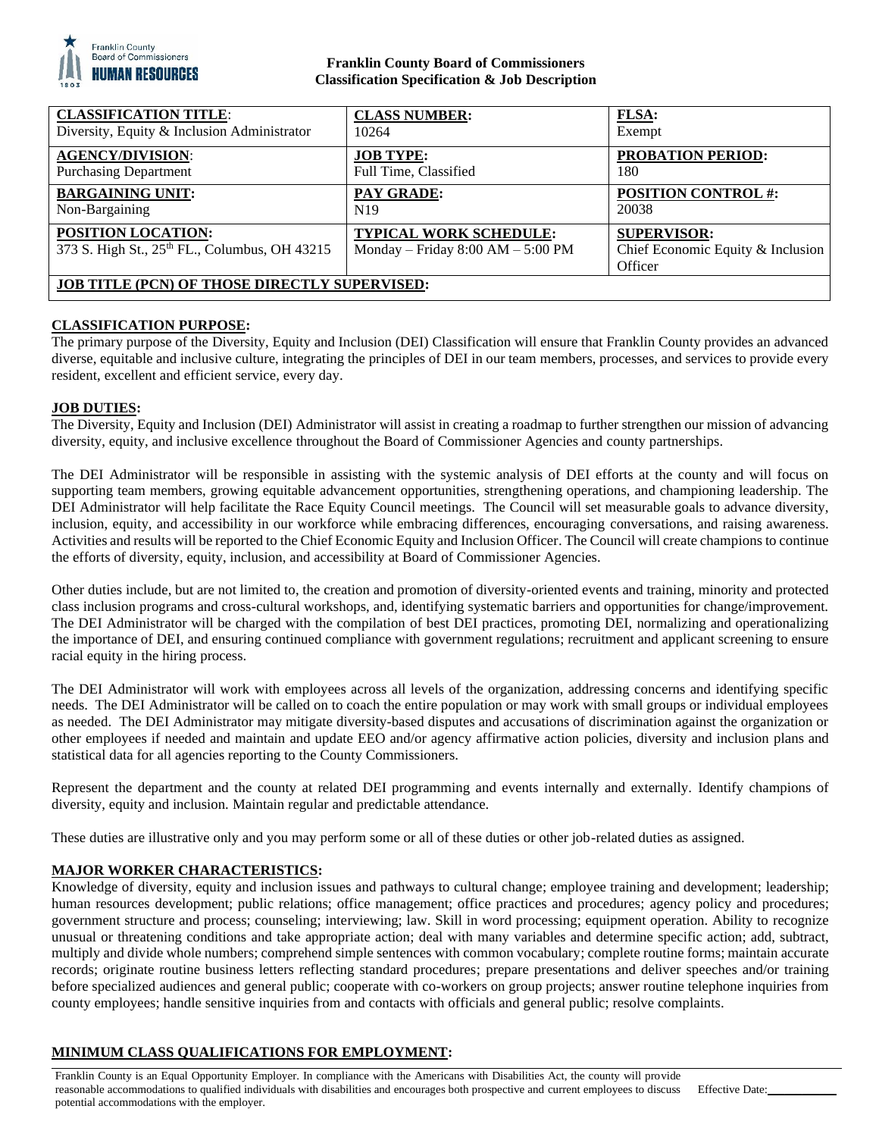

## **Franklin County Board of Commissioners Classification Specification & Job Description**

| <b>CLASSIFICATION TITLE:</b>                                        | <b>CLASS NUMBER:</b>                                          | <b>FLSA:</b>                                                       |
|---------------------------------------------------------------------|---------------------------------------------------------------|--------------------------------------------------------------------|
| Diversity, Equity & Inclusion Administrator                         | 10264                                                         | Exempt                                                             |
| <b>AGENCY/DIVISION:</b>                                             | <b>JOB TYPE:</b>                                              | <b>PROBATION PERIOD:</b>                                           |
| <b>Purchasing Department</b>                                        | Full Time, Classified                                         | 180                                                                |
| <b>BARGAINING UNIT:</b>                                             | PAY GRADE:                                                    | <b>POSITION CONTROL #:</b>                                         |
| Non-Bargaining                                                      | N <sub>19</sub>                                               | 20038                                                              |
| POSITION LOCATION:<br>373 S. High St., 25th FL., Columbus, OH 43215 | TYPICAL WORK SCHEDULE:<br>Monday – Friday $8:00 AM - 5:00 PM$ | <b>SUPERVISOR:</b><br>Chief Economic Equity & Inclusion<br>Officer |
| <b>JOB TITLE (PCN) OF THOSE DIRECTLY SUPERVISED:</b>                |                                                               |                                                                    |

# **CLASSIFICATION PURPOSE:**

The primary purpose of the Diversity, Equity and Inclusion (DEI) Classification will ensure that Franklin County provides an advanced diverse, equitable and inclusive culture, integrating the principles of DEI in our team members, processes, and services to provide every resident, excellent and efficient service, every day.

## **JOB DUTIES:**

The Diversity, Equity and Inclusion (DEI) Administrator will assist in creating a roadmap to further strengthen our mission of advancing diversity, equity, and inclusive excellence throughout the Board of Commissioner Agencies and county partnerships.

The DEI Administrator will be responsible in assisting with the systemic analysis of DEI efforts at the county and will focus on supporting team members, growing equitable advancement opportunities, strengthening operations, and championing leadership. The DEI Administrator will help facilitate the Race Equity Council meetings. The Council will set measurable goals to advance diversity, inclusion, equity, and accessibility in our workforce while embracing differences, encouraging conversations, and raising awareness. Activities and results will be reported to the Chief Economic Equity and Inclusion Officer. The Council will create champions to continue the efforts of diversity, equity, inclusion, and accessibility at Board of Commissioner Agencies.

Other duties include, but are not limited to, the creation and promotion of diversity-oriented events and training, minority and protected class inclusion programs and cross-cultural workshops, and, identifying systematic barriers and opportunities for change/improvement. The DEI Administrator will be charged with the compilation of best DEI practices, promoting DEI, normalizing and operationalizing the importance of DEI, and ensuring continued compliance with government regulations; recruitment and applicant screening to ensure racial equity in the hiring process.

The DEI Administrator will work with employees across all levels of the organization, addressing concerns and identifying specific needs. The DEI Administrator will be called on to coach the entire population or may work with small groups or individual employees as needed. The DEI Administrator may mitigate diversity-based disputes and accusations of discrimination against the organization or other employees if needed and maintain and update EEO and/or agency affirmative action policies, diversity and inclusion plans and statistical data for all agencies reporting to the County Commissioners.

Represent the department and the county at related DEI programming and events internally and externally. Identify champions of diversity, equity and inclusion. Maintain regular and predictable attendance.

These duties are illustrative only and you may perform some or all of these duties or other job-related duties as assigned.

## **MAJOR WORKER CHARACTERISTICS:**

Knowledge of diversity, equity and inclusion issues and pathways to cultural change; employee training and development; leadership; human resources development; public relations; office management; office practices and procedures; agency policy and procedures; government structure and process; counseling; interviewing; law. Skill in word processing; equipment operation. Ability to recognize unusual or threatening conditions and take appropriate action; deal with many variables and determine specific action; add, subtract, multiply and divide whole numbers; comprehend simple sentences with common vocabulary; complete routine forms; maintain accurate records; originate routine business letters reflecting standard procedures; prepare presentations and deliver speeches and/or training before specialized audiences and general public; cooperate with co-workers on group projects; answer routine telephone inquiries from county employees; handle sensitive inquiries from and contacts with officials and general public; resolve complaints.

# **MINIMUM CLASS QUALIFICATIONS FOR EMPLOYMENT:**

Franklin County is an Equal Opportunity Employer. In compliance with the Americans with Disabilities Act, the county will provide reasonable accommodations to qualified individuals with disabilities and encourages both prospective and current employees to discuss potential accommodations with the employer.

Effective Date: